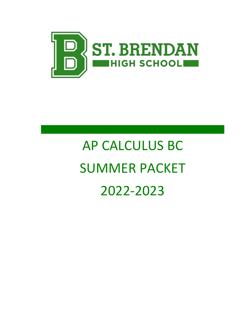

# AP CALCULUS BC SUMMER PACKET 2022-2023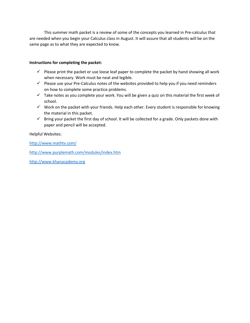This summer math packet is a review of some of the concepts you learned in Pre-calculus that are needed when you begin your Calculus class in August. It will assure that all students will be on the same page as to what they are expected to know.

#### **Instructions for completing the packet:**

- $\checkmark$  Please print the packet or use loose leaf paper to complete the packet by hand showing all work when necessary. Work must be neat and legible.
- ✓ Please use your Pre-Calculus notes of the websites provided to help you if you need reminders on how to complete some practice problems.
- $\checkmark$  Take notes as you complete your work. You will be given a quiz on this material the first week of school.
- ✓ Work on the packet with your friends. Help each other. Every student is responsible for knowing the material in this packet.
- ✓ Bring your packet the first day of school. It will be collected for a grade. Only packets done with paper and pencil will be accepted.

Helpful Websites:

<http://www.mathtv.com/>

<http://www.purplemath.com/modules/index.htm>

[http://www.khanacademy.org](http://www.khanacademy.org/)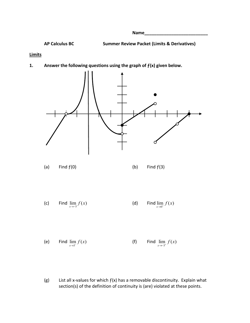**Name\_\_\_\_\_\_\_\_\_\_\_\_\_\_\_\_\_\_\_\_\_\_\_\_\_\_**

**AP Calculus BC Summer Review Packet (Limits & Derivatives)**

#### **Limits**

**1. Answer the following questions using the graph of ƒ(x) given below.**



(g) List all x-values for which  $f(x)$  has a removable discontinuity. Explain what section(s) of the definition of continuity is (are) violated at these points.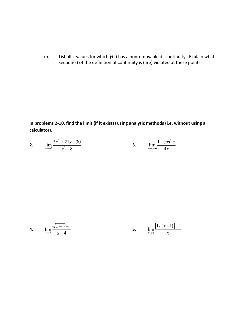(h) List all x-values for which  $f(x)$  has a nonremovable discontinuity. Explain what section(s) of the definition of continuity is (are) violated at these points.

**In problems 2-10, find the limit (if it exists) using analytic methods (i.e. without using a calculator).**

| 2. | $3x^2 + 21x + 30$<br>1100<br>$x^3+8$<br>$x \rightarrow -2$ | $1 - \cos^2 x$<br>۱. ۱۰ ۰   |  |
|----|------------------------------------------------------------|-----------------------------|--|
|    |                                                            | $x \rightarrow \pi/6$<br>4x |  |

4. 
$$
\lim_{x \to 4} \frac{\sqrt{x-3} - 1}{x-4}
$$
 5. 
$$
\lim_{x \to 0} \frac{[1/(x+1)] - 1}{x}
$$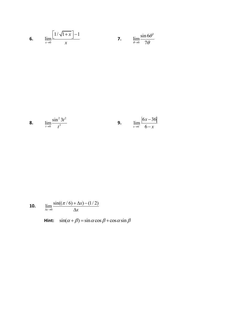**6.** 
$$
\lim_{x \to 0} \frac{\left[1/\sqrt{1+x}\right] - 1}{x}
$$
**7.** 
$$
\lim_{\theta \to 0} \frac{\sin 6\theta^3}{7\theta}
$$

**8.** 
$$
\lim_{t \to 0} \frac{\sin^2 3t^2}{t^3}
$$
 **9.** 
$$
\lim_{x \to 6^-} \frac{|6x - 36|}{6 - x}
$$

**10.** 
$$
\lim_{\Delta x \to 0} \frac{\sin((\pi/6) + \Delta x) - (1/2)}{\Delta x}
$$

Hint:  $\sin(\alpha + \beta) = \sin \alpha \cos \beta + \cos \alpha \sin \beta$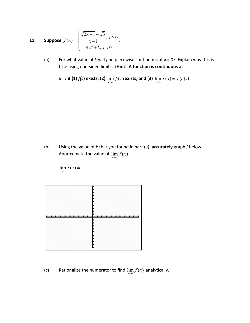**11.** Suppose 
$$
f(x) = \begin{cases} \frac{\sqrt{2x+1} - \sqrt{3}}{x-1}, x \ge 0 \\ 4x^2 + k, x < 0 \end{cases}
$$
.

(a) For what value of *k* will *f* be piecewise continuous at *x* = 0? Explain why this is true using one-sided limits. (**Hint: A function is continuous at** 

x = c if (1) 
$$
f(c)
$$
 exists, (2)  $\lim_{x \to c} f(x)$  exists, and (3)  $\lim_{x \to c} f(x) = f(c)$ .

(b) Using the value of *k* that you found in part (a), **accurately** graph *f* below. Approximate the value of  $\lim_{x\to 1} f(x)$ 



 $\lim_{x\to 1} f(x)$  $\mathcal{L}=\mathcal{L}$ 

(c) Rationalize the numerator to find  $\lim_{x\to 1} f(x)$  analytically.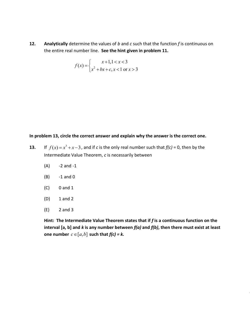**12. Analytically** determine the values of *b* and *c* such that the function *f* is continuous on the entire real number line. **See the hint given in problem 11.**

$$
f(x) = \begin{cases} x+1, 1 < x < 3\\ x^2 + bx + c, x < 1 \text{ or } x > 3 \end{cases}
$$

#### **In problem 13, circle the correct answer and explain why the answer is the correct one.**

- **13.** If  $f(x) = x^3 + x 3$ , and if *c* is the only real number such that  $f(c) = 0$ , then by the Intermediate Value Theorem, *c* is necessarily between
	- $(A)$  -2 and -1
	- (B) -1 and 0
	- (C) 0 and 1
	- (D) 1 and 2
	- (E) 2 and 3

Hint: The Intermediate Value Theorem states that if f is a continuous function on the **interval [a, b] and** *k* **is any number between** *f(a)* **and** *f(b)***, then there must exist at least one number**  $c \in [a,b]$  such that  $f(c) = k$ .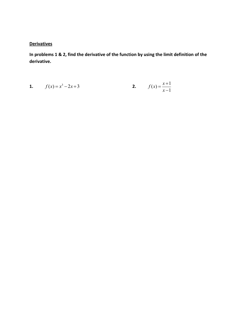#### **Derivatives**

In problems 1 & 2, find the derivative of the function by using the limit definition of the derivative.

1. 
$$
f(x) = x^3 - 2x + 3
$$
  
2.  $f(x) = \frac{x+1}{x-1}$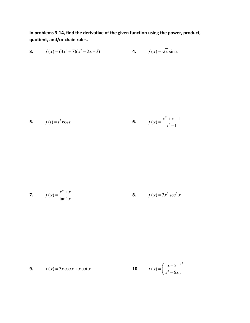In problems 3-14, find the derivative of the given function using the power, product, quotient, and/or chain rules.

**3.** 
$$
f(x) = (3x^2 + 7)(x^2 - 2x + 3)
$$
  
**4.**  $f(x) = \sqrt{x} \sin x$   
**5.**  $f(t) = t^3 \cos t$   
**6.**  $f(x) = \frac{x^2 + x - 1}{x^2 - 1}$ 

7. 
$$
f(x) = \frac{x^4 + x}{\tan^2 x}
$$
 8.  $f(x) = 3x^2 \sec^3 x$ 

**9.** 
$$
f(x) = 3x \csc x + x \cot x
$$
 **10.**  $f(x) = \left(\frac{x+5}{x^2 - 6x}\right)^2$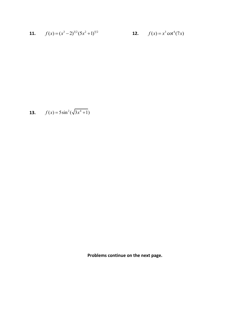**11.** 
$$
f(x) = (x^3 - 2)^{3/2} (5x^2 + 1)^{5/2}
$$
   
**12.**  $f(x) = x^3 \cot^4(7x)$ 

13. 
$$
f(x) = 5\sin^2(\sqrt{3x^4} + 1)
$$

**Problems continue on the next page.**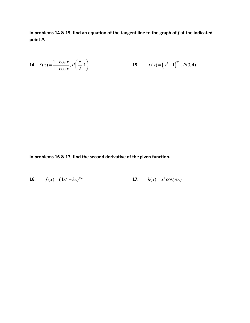In problems 14 & 15, find an equation of the tangent line to the graph of  $f$  at the indicated point P.

**14.** 
$$
f(x) = \frac{1 + \cos x}{1 - \cos x}, P\left(\frac{\pi}{2}, 1\right)
$$
   
**15.**  $f(x) = (x^2 - 1)^{2/3}, P(3, 4)$ 

In problems 16 & 17, find the second derivative of the given function.

**16.** 
$$
f(x) = (4x^2 - 3x)^{3/2}
$$
   
**17.**  $h(x) = x^3 \cos(\pi x)$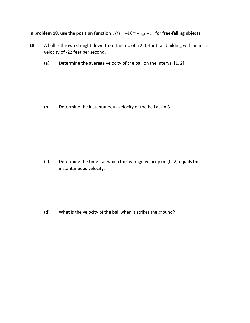#### In problem 18, use the position function  $s(t) = -16t^2 + v_0t + s_0$  for free-falling objects.

- **18.** A ball is thrown straight down from the top of a 220-foot tall building with an initial velocity of -22 feet per second.
	- (a) Determine the average velocity of the ball on the interval [1, 2].

(b) Determine the instantaneous velocity of the ball at *t* = 3.

(c) Determine the time *t* at which the average velocity on [0, 2] equals the instantaneous velocity.

(d) What is the velocity of the ball when it strikes the ground?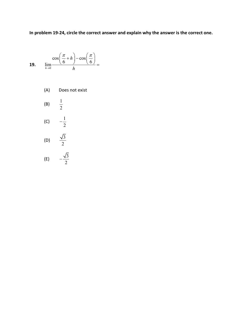**In problem 19-24, circle the correct answer and explain why the answer is the correct one.**

$$
19. \qquad \lim_{h \to 0} \frac{\cos\left(\frac{\pi}{6} + h\right) - \cos\left(\frac{\pi}{6}\right)}{h} =
$$

(A) Does not exist

(B) 
$$
\frac{1}{2}
$$
  
\n(C)  $-\frac{1}{2}$   
\n(D)  $\frac{\sqrt{3}}{2}$ 

$$
(E) \qquad -\frac{\sqrt{3}}{2}
$$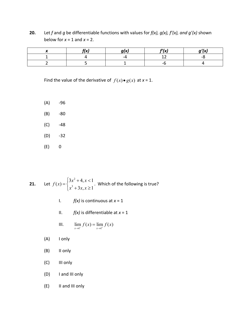**20.** Let *f* and *g* be differentiable functions with values for *f(x), g(x), f'(x), and g'(x)* shown below for  $x = 1$  and  $x = 2$ .

| りぃ<br>., |    | f'(x) | . .<br>∕v' |
|----------|----|-------|------------|
|          | -4 | --    | - -        |
|          |    |       |            |

Find the value of the derivative of  $f(x) \bullet g(x)$  at  $x = 1$ .

- $(A)$  -96
- (B) -80
- $(C)$  -48
- (D) -32
- (E) 0

**21.** Let 
$$
f(x) = \begin{cases} 3x^2 + 4, & x < 1 \\ x^3 + 3x, & x \ge 1 \end{cases}
$$
. Which of the following is true?

- I. *f(x)* is continuous at *x* = 1
- II.  $f(x)$  is differentiable at  $x = 1$

III. 
$$
\lim_{x \to 1^{-}} f(x) = \lim_{x \to 1^{+}} f(x)
$$

- (A) I only
- (B) II only
- (C) III only
- (D) I and III only
- (E) II and III only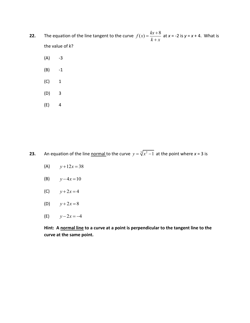- **22.** The equation of the line tangent to the curve  $f(x) = \frac{kx + 8}{k + x}$ at *x* = -2 is *y* = *x* + 4. What is the value of *k*?
	- $(A)$  -3
	- (B) -1
	- (C) 1
	- (D) 3
	- (E) 4

**23.** An equation of the line normal to the curve  $y = \sqrt[3]{x^2 - 1}$  at the point where  $x = 3$  is

- (A)  $y+12x=38$
- (B)  $y-4x=10$
- (C)  $y + 2x = 4$
- (D)  $y+2x=8$
- (E)  $y 2x = -4$

**Hint: A normal line to a curve at a point is perpendicular to the tangent line to the curve at the same point.**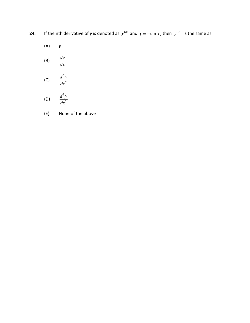- **24.** If the nth derivative of *y* is denoted as  $y^{(n)}$  and  $y = -\sin x$ , then  $y^{(14)}$  is the same as
	- (A) *y*

$$
\text{(B)} \qquad \frac{dy}{dx}
$$

$$
\text{(C)} \qquad \frac{d^2y}{dx^2}
$$

$$
(D) \qquad \frac{d^3y}{dx^3}
$$

(E) None of the above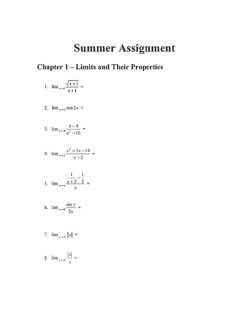## **Summer Assignment**

### **Chapter 1 – Limits and Their Properties**

1. 
$$
\lim_{x \to 1} \frac{\sqrt{x+1}}{x+1} =
$$

$$
2. \ \lim_{x\to\pi}\cos 2x=
$$

3. 
$$
\lim_{x \to 4} \frac{x-4}{x^2-16} =
$$

4. 
$$
\lim_{x \to 2} \frac{x^2 + 5x - 14}{x - 2} =
$$

5. 
$$
\lim_{x \to 0} \frac{\frac{1}{x+5} - \frac{1}{5}}{x} =
$$

$$
6. \ \lim_{x\to 0}\frac{\sin x}{3x}=
$$

7. 
$$
\lim_{x \to 3^+} \|x\| =
$$

$$
8. \quad \lim_{x\to 0^-} \frac{|x|}{x} =
$$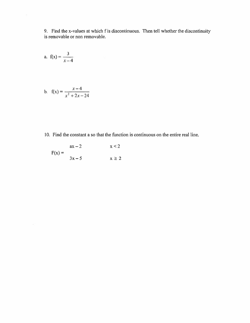9. Find the x-values at which f is discontinuous. Then tell whether the discontinuity is removable or non removable.

a. 
$$
f(x) = \frac{3}{x-4}
$$

b. 
$$
f(x) = \frac{x-4}{x^2 + 2x - 24}
$$

10. Find the constant a so that the function is continuous on the entire real line.

$$
F(x) = \begin{cases} ax - 2 & x < 2 \\ 3x - 5 & x \ge 2 \end{cases}
$$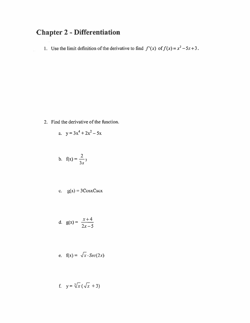### **Chapter 2 - Differentiation**

1. Use the limit definition of the derivative to find  $f'(x)$  of  $f(x) = x^2 - 5x + 3$ .

2. Find the derivative of the function.

a. 
$$
y = 3x^4 + 2x^2 - 5x
$$

$$
b. \quad f(x) = \frac{2}{3x}3
$$

c. 
$$
g(x) = 3\text{CosxCscx}
$$

$$
d. \quad g(x) = \frac{x+4}{2x-5}
$$

e. 
$$
f(x) = \sqrt{x} \cdot \text{Sec}(2x)
$$

f. 
$$
y = \sqrt[3]{x} (\sqrt{x} + 3)
$$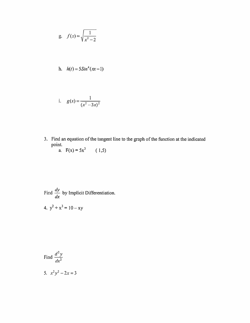g. 
$$
f(x) = \sqrt{\frac{1}{x^2 - 2}}
$$

h. 
$$
h(t) = 5\sin^4(\pi x - 1)
$$

i. 
$$
g(x) = \frac{1}{(x^2 - 3x)^2}
$$

- 3. Find an equation of the tangent line to the graph of the function at the indicated point.<br>
a.  $F(x) = 5x^3$ 
	- $(1,5)$

Find  $\frac{dy}{dx}$  by Implicit Differentiation. 4.  $y^2 + x^3 = 10 - xy$ 

Find 
$$
\frac{d^2 y}{dx^2}
$$
  
5. 
$$
x^2 y^2 - 2x = 3
$$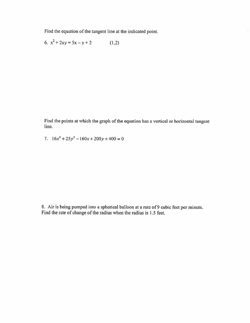Find the equation of the tangent line at the indicated point.

6.  $x^2 + 2xy = 5x - y + 2$  $(1,2)$ 

Find the points at which the graph of the equation has a vertical or horizontal tangent line.

7.  $16x^2 + 25y^2 - 160x + 200y + 400 = 0$ 

8. Air is being pumped into a spherical balloon at a rate of 9 cubic feet per minute. Find the rate of change of the radius when the radius is 1.5 feet.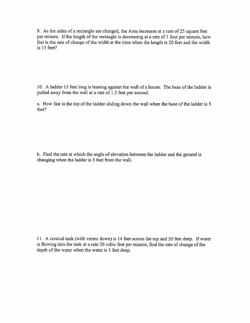9. As the sides of a rectangle are changed, the Area increases at a rate of 25 square feet per minute. If the length of the rectangle is decreasing at a rate of 1 foot per minute, how fast is the rate of change of the width at the time when the length is 20 feet and the width is 15 feet?

10. A ladder 13 feet long is leaning against the wall of a house. The base of the ladder is pulled away from the wall at a rate of 1.5 feet per second.

a. How fast is the top of the ladder sliding down the wall when the base of the ladder is 5 feet?

b. Find the rate at which the angle of elevation between the ladder and the ground is changing when the ladder is 5 feet from the wall.

11. A conical tank (with vertex down) is 14 feet across the top and 20 feet deep. If water is flowing into the tank at a rate 20 cubic feet per minute, find the rate of change of the depth of the water when the water is 5 feet deep.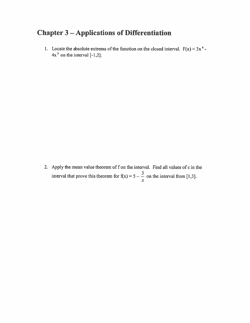### **Chapter 3 - Applications of Differentiation**

1. Locate the absolute extrema of the function on the closed interval.  $F(x) = 3x^4$ - $4x<sup>3</sup>$  on the interval [-1,2].

2. Apply the mean value theorem of f on the interval. Find all values of c in the interval that prove this theorem for  $f(x) = 5 - \frac{3}{x}$  on the interval from [1,3].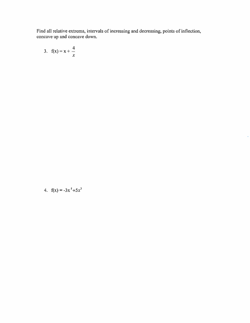Find all relative extrema, intervals of increasing and decreasing, points of inflection, concave up and concave down.

i.

$$
3. \quad f(x) = x + \frac{4}{x}
$$

4. 
$$
f(x) = -3x^5 + 5x^3
$$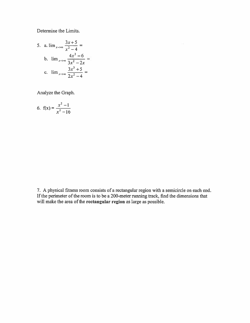Determine the Limits.

5. a. 
$$
\lim_{x \to \infty} \frac{3x+5}{x^2-4} =
$$
  
\nb.  $\lim_{x \to \infty} \frac{4x^2-6}{3x^2-2x} =$   
\nc.  $\lim_{x \to \infty} \frac{3x^3+5}{2x^2-4} =$ 

Analyze the Graph.

6. 
$$
f(x) = \frac{x^2 - 1}{x^2 - 16}
$$

7. A physical fitness room consists of a rectangular region with a semicircle on each end. If the perimeter of the room is to be a 200-meter running track, find the dimensions that will make the area of the rectangular region as large as possible.

 $\sim$   $\alpha$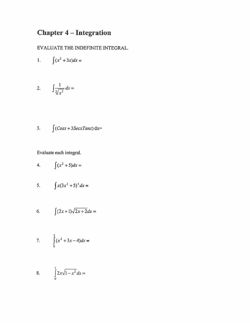### **Chapter 4 – Integration**

EVALUATE THE INDEFINITE INTEGRAL.

$$
1. \qquad \int (x^2 + 3x) dx =
$$

$$
2. \qquad \int \frac{1}{\sqrt[3]{x^2}} dx =
$$

3. 
$$
\int (Cosx + 3SecxTanx) dx =
$$

Evaluate each integral.

$$
4. \qquad \int (x^2 + 5) dx =
$$

5. 
$$
\int x(3x^2 + 5)^3 dx =
$$

$$
6. \qquad \int (2x+1)\sqrt{2x+2}dx =
$$

7. 
$$
\int_{0}^{3} (x^2 + 3x - 4) dx =
$$

8. 
$$
\int_{0}^{1} 2x\sqrt{1-x^2} \, dx =
$$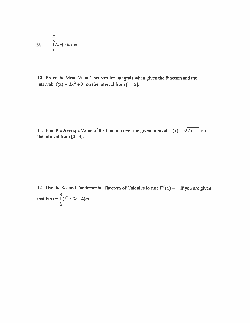9. 
$$
\int_{0}^{\frac{\pi}{3}} \sin(x) dx =
$$

10. Prove the Mean Value Theorem for Integrals when given the function and the interval:  $f(x) = 3x^2 + 3$  on the interval from [1, 5].

11. Find the Average Value of the function over the given interval:  $f(x) = \sqrt{2x + 1}$  on the interval from [0, 4].

12. Use the Second Fundamental Theorem of Calculus to find  $F'(x) =$  if you are given that  $F(x) = \int_{2}^{x} (t^2 + 3t - 4) dt$ .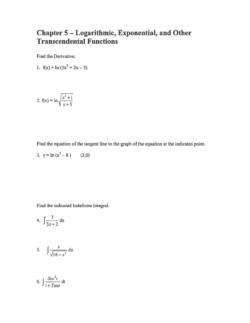#### Chapter 5 - Logarithmic, Exponential, and Other **Transcendental Functions**

Find the Derivative.

1. 
$$
f(x) = \ln (3x^2 + 2x - 5)
$$

2. 
$$
f(x) = \ln \sqrt{\frac{x^3 + 1}{x + 5}}
$$

Find the equation of the tangent line to the graph of the equation at the indicated point.

3. 
$$
y = \ln(x^2 - 8)
$$
 (3,0)

Find the indicated Indefinite Integral.

4. 
$$
\int \frac{3}{3x+2} \, dx
$$

$$
5. \qquad \int \frac{x}{\sqrt{16-x^2}} \, \mathrm{d}x
$$

6. 
$$
\int \frac{\text{Sec}^2 t}{1 + \text{Tant}} dt
$$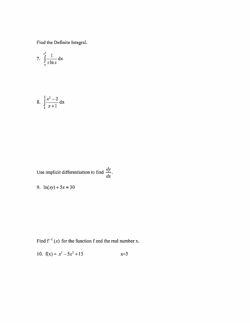Find the Definite Integral.

7. 
$$
\int_{e}^{e^2} \frac{1}{x \ln x} dx
$$

8. 
$$
\int_{0}^{2} \frac{x^2 - 2}{x + 1} dx
$$

Use implicit differentiation to find 
$$
\frac{dy}{dx}
$$
.

9. 
$$
\ln(xy) + 5x = 30
$$

Find  $f^{-1}(x)$  for the function f and the real number x.

10. 
$$
f(x) = x^3 - 5x^2 + 15
$$
  $x=3$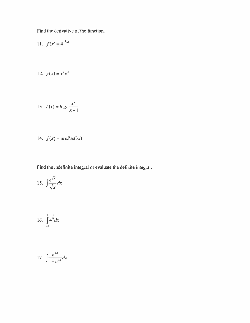Find the derivative of the function.

11. 
$$
f(x) = 4^{x^2+1}
$$

$$
12. \quad g(x) = x^2 e^x
$$

13. 
$$
h(x) = \log_3 \frac{x^2}{x-1}
$$

14. 
$$
f(x) = arcSec(3x)
$$

Find the indefinite integral or evaluate the definite integral.

$$
15. \int \frac{e^{\sqrt{x}}}{\sqrt{x}} dx
$$

16. 
$$
\int_{-2}^{2} 4^{\frac{x}{2}} dx
$$

$$
17. \int \frac{e^{2x}}{1+e^{2x}} dx
$$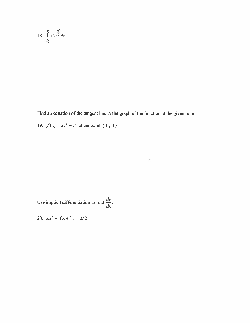18. 
$$
\int_{-2}^{0} x^2 e^{\frac{x^3}{2}} dx
$$

Find an equation of the tangent line to the graph of the function at the given point.

ä.

19.  $f(x) = xe^x - e^x$  at the point (1,0)

Use implicit differentiation to find  $\frac{dy}{dx}$ .

20.  $xe^y - 10x + 3y = 252$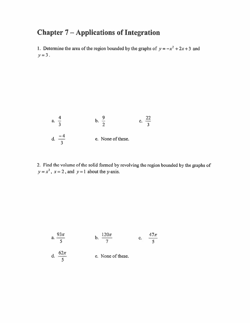### **Chapter 7-Applications of Integration**

1. Determine the area of the region bounded by the graphs of  $y = -x^2 + 2x + 3$  and  $y=3$ .

a. 
$$
\frac{4}{3}
$$
 b.  $\frac{9}{2}$  c.  $\frac{22}{3}$   
d.  $\frac{-4}{3}$  e. None of these.

2. Find the volume of the solid formed by revolving the region bounded by the graphs of  $y = x<sup>3</sup>$ ,  $x = 2$ , and  $y = 1$  about the y-axis.

a. 
$$
\frac{93\pi}{5}
$$
 b.  $\frac{120\pi}{7}$  c.  $\frac{47\pi}{5}$   
d.  $\frac{62\pi}{5}$  e. None of these.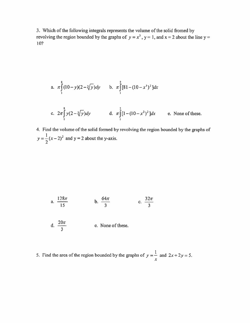3. Which of the following integrals represents the volume of the solid fromed by revolving the region bounded by the graphs of  $y = x^3$ ,  $y = 1$ , and  $x = 2$  about the line  $y =$ 10?

a. 
$$
\pi \int_{1}^{8} (10 - y)(2 - \sqrt[3]{y}) dy
$$
 b.  $\pi \int_{1}^{2} [81 - (10 - x^3)^2] dx$   
c.  $2\pi \int_{1}^{8} y(2 - \sqrt[3]{y}) dy$  d.  $\pi \int_{1}^{2} [1 - (10 - x^3)^2] dx$  e. None of these.

4. Find the volume of the solid formed by revolving the region bounded by the graphs of  $y = \frac{1}{2}(x-2)^2$  and  $y = 2$  about the y-axis.

a. 
$$
\frac{128\pi}{15}
$$
 b.  $\frac{64\pi}{3}$  c.  $\frac{32\pi}{3}$   
d.  $\frac{20\pi}{3}$  e. None of these.

5. Find the area of the region bounded by the graphs of  $y = \frac{1}{x}$  and  $2x + 2y = 5$ .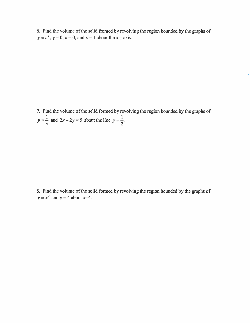6. Find the volume of the solid fromed by revolving the region bounded by the graphs of  $y = e^x$ ,  $y = 0$ ,  $x = 0$ , and  $x = 1$  about the  $x = axis$ .

7. Find the volume of the solid formed by revolving the region bounded by the graphs of  $y = \frac{1}{x}$  and  $2x + 2y = 5$  about the line  $y = \frac{1}{2}$ .

8. Find the volume of the solid formed by revolving the region bounded by the graphs of  $y = x^2$  and  $y = 4$  about x=4.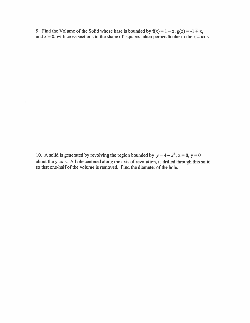9. Find the Volume of the Solid whose base is bounded by  $f(x) = 1 - x$ ,  $g(x) = -1 + x$ , and  $x = 0$ , with cross sections in the shape of squares taken perpendicular to the  $x - axis$ .

10. A solid is generated by revolving the region bounded by  $y = 4 - x^2$ ,  $x = 0$ ,  $y = 0$ about the y axis. A hole centered along the axis of revolution, is drilled through this solid so that one-half of the volume is removed. Find the diameter of the hole.